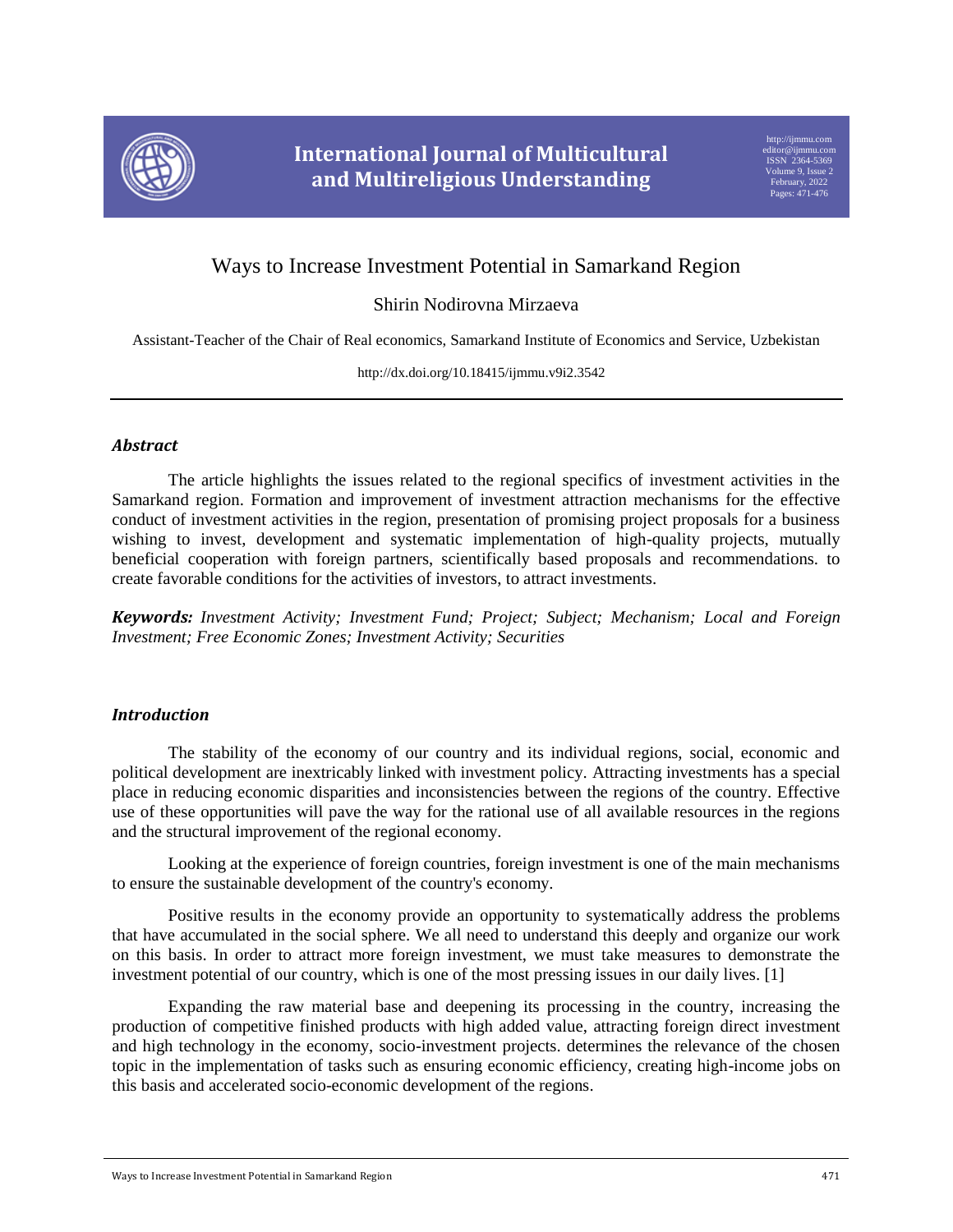

# Ways to Increase Investment Potential in Samarkand Region

## Shirin Nodirovna Mirzaeva

Assistant-Teacher of the Chair of Real economics, Samarkand Institute of Economics and Service, Uzbekistan

http://dx.doi.org/10.18415/ijmmu.v9i2.3542

## *Abstract*

The article highlights the issues related to the regional specifics of investment activities in the Samarkand region. Formation and improvement of investment attraction mechanisms for the effective conduct of investment activities in the region, presentation of promising project proposals for a business wishing to invest, development and systematic implementation of high-quality projects, mutually beneficial cooperation with foreign partners, scientifically based proposals and recommendations. to create favorable conditions for the activities of investors, to attract investments.

*Keywords: Investment Activity; Investment Fund; Project; Subject; Mechanism; Local and Foreign Investment; Free Economic Zones; Investment Activity; Securities*

## *Introduction*

The stability of the economy of our country and its individual regions, social, economic and political development are inextricably linked with investment policy. Attracting investments has a special place in reducing economic disparities and inconsistencies between the regions of the country. Effective use of these opportunities will pave the way for the rational use of all available resources in the regions and the structural improvement of the regional economy.

Looking at the experience of foreign countries, foreign investment is one of the main mechanisms to ensure the sustainable development of the country's economy.

Positive results in the economy provide an opportunity to systematically address the problems that have accumulated in the social sphere. We all need to understand this deeply and organize our work on this basis. In order to attract more foreign investment, we must take measures to demonstrate the investment potential of our country, which is one of the most pressing issues in our daily lives. [1]

Expanding the raw material base and deepening its processing in the country, increasing the production of competitive finished products with high added value, attracting foreign direct investment and high technology in the economy, socio-investment projects. determines the relevance of the chosen topic in the implementation of tasks such as ensuring economic efficiency, creating high-income jobs on this basis and accelerated socio-economic development of the regions.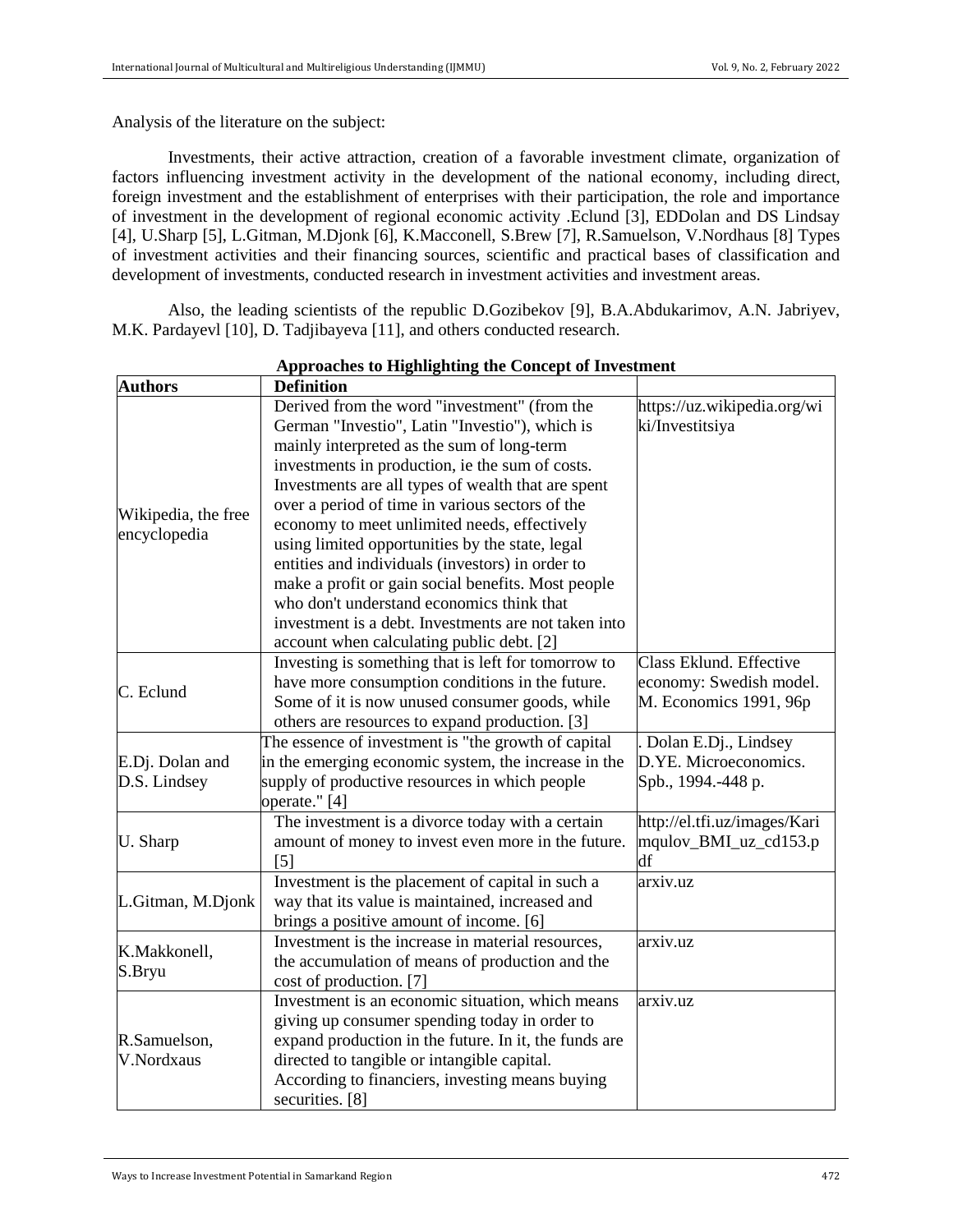Analysis of the literature on the subject:

Investments, their active attraction, creation of a favorable investment climate, organization of factors influencing investment activity in the development of the national economy, including direct, foreign investment and the establishment of enterprises with their participation, the role and importance of investment in the development of regional economic activity .Eclund [3], EDDolan and DS Lindsay [4], U.Sharp [5], L.Gitman, M.Djonk [6], K.Macconell, S.Brew [7], R.Samuelson, V.Nordhaus [8] Types of investment activities and their financing sources, scientific and practical bases of classification and development of investments, conducted research in investment activities and investment areas.

Also, the leading scientists of the republic D.Gozibekov [9], B.A.Abdukarimov, A.N. Jabriyev, M.K. Pardayevl [10], D. Tadjibayeva [11], and others conducted research.

| <b>Authors</b>      | <b>Definition</b>                                     |                              |
|---------------------|-------------------------------------------------------|------------------------------|
|                     | Derived from the word "investment" (from the          | https://uz.wikipedia.org/wi  |
|                     | German "Investio", Latin "Investio"), which is        | ki/Investitsiya              |
|                     | mainly interpreted as the sum of long-term            |                              |
|                     | investments in production, ie the sum of costs.       |                              |
|                     | Investments are all types of wealth that are spent    |                              |
|                     | over a period of time in various sectors of the       |                              |
| Wikipedia, the free | economy to meet unlimited needs, effectively          |                              |
| encyclopedia        | using limited opportunities by the state, legal       |                              |
|                     | entities and individuals (investors) in order to      |                              |
|                     | make a profit or gain social benefits. Most people    |                              |
|                     | who don't understand economics think that             |                              |
|                     | investment is a debt. Investments are not taken into  |                              |
|                     | account when calculating public debt. [2]             |                              |
|                     | Investing is something that is left for tomorrow to   | Class Eklund. Effective      |
| C. Eclund           | have more consumption conditions in the future.       | economy: Swedish model.      |
|                     | Some of it is now unused consumer goods, while        | M. Economics 1991, 96p       |
|                     | others are resources to expand production. [3]        |                              |
|                     | The essence of investment is "the growth of capital   | Dolan E.Dj., Lindsey         |
| E.Dj. Dolan and     | in the emerging economic system, the increase in the  | D.YE. Microeconomics.        |
| D.S. Lindsey        | supply of productive resources in which people        | Spb., 1994.-448 p.           |
|                     | operate." [4]                                         |                              |
|                     | The investment is a divorce today with a certain      | http://el.tfi.uz/images/Kari |
| U. Sharp            | amount of money to invest even more in the future.    | mqulov_BMI_uz_cd153.p        |
|                     | $\lceil 5 \rceil$                                     | df                           |
|                     | Investment is the placement of capital in such a      | arxiv.uz                     |
| L.Gitman, M.Djonk   | way that its value is maintained, increased and       |                              |
|                     | brings a positive amount of income. [6]               |                              |
| K.Makkonell,        | Investment is the increase in material resources,     | arxiv.uz                     |
| S.Bryu              | the accumulation of means of production and the       |                              |
|                     | cost of production. [7]                               |                              |
|                     | Investment is an economic situation, which means      | arxiv.uz                     |
|                     | giving up consumer spending today in order to         |                              |
| R.Samuelson,        | expand production in the future. In it, the funds are |                              |
| V.Nordxaus          | directed to tangible or intangible capital.           |                              |
|                     | According to financiers, investing means buying       |                              |
|                     | securities. [8]                                       |                              |

#### **Approaches to Highlighting the Concept of Investment**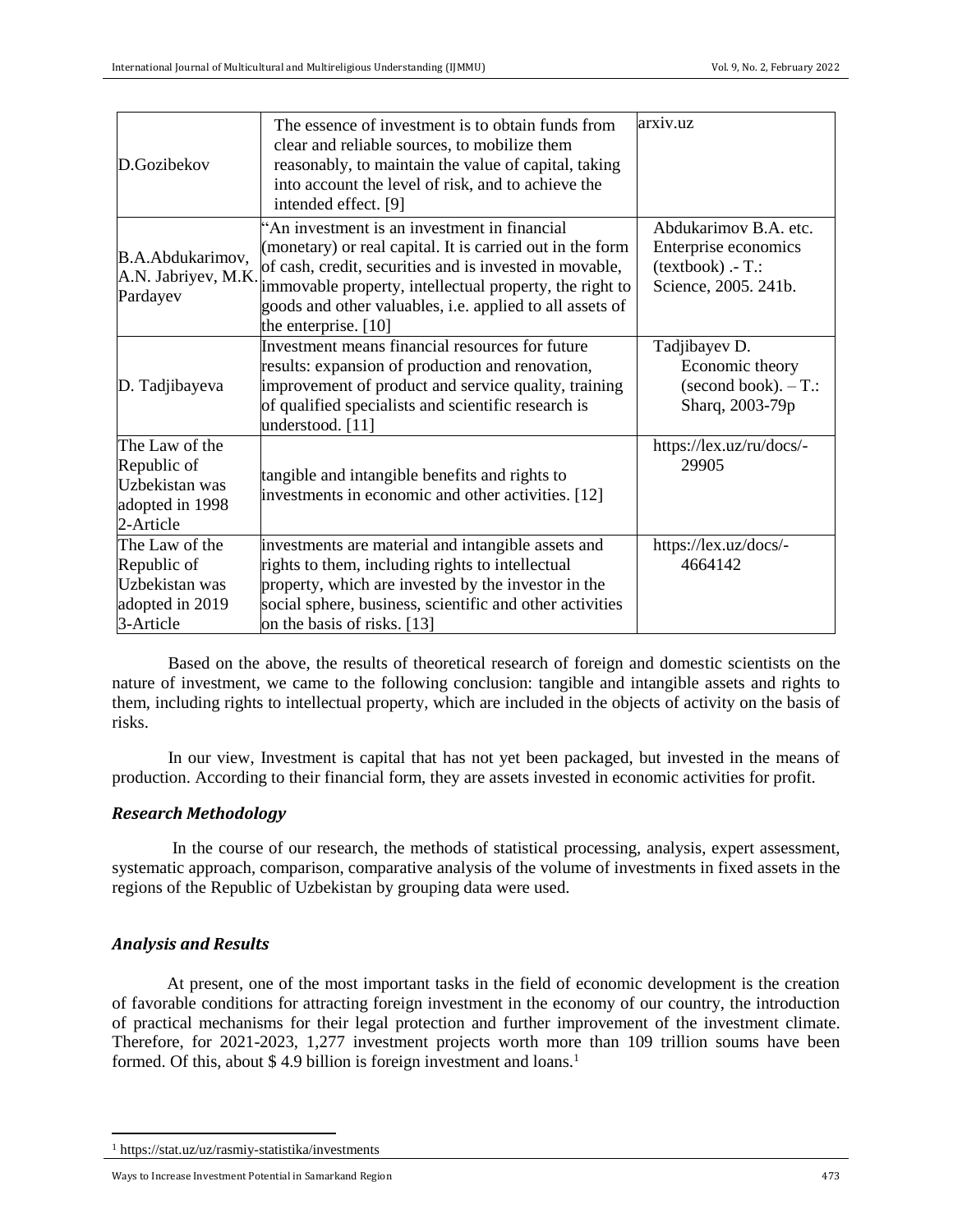| D.Gozibekov                                                                     | The essence of investment is to obtain funds from<br>clear and reliable sources, to mobilize them<br>reasonably, to maintain the value of capital, taking<br>into account the level of risk, and to achieve the<br>intended effect. [9]                                                                             | arxiv.uz                                                                                     |
|---------------------------------------------------------------------------------|---------------------------------------------------------------------------------------------------------------------------------------------------------------------------------------------------------------------------------------------------------------------------------------------------------------------|----------------------------------------------------------------------------------------------|
| B.A.Abdukarimov,<br>A.N. Jabriyev, M.K.<br>Pardayev                             | "An investment is an investment in financial<br>(monetary) or real capital. It is carried out in the form<br>of cash, credit, securities and is invested in movable,<br>immovable property, intellectual property, the right to<br>goods and other valuables, i.e. applied to all assets of<br>the enterprise. [10] | Abdukarimov B.A. etc.<br>Enterprise economics<br>$(textbook) - T$ .:<br>Science, 2005. 241b. |
| D. Tadjibayeva                                                                  | Investment means financial resources for future<br>results: expansion of production and renovation,<br>improvement of product and service quality, training<br>of qualified specialists and scientific research is<br>understood. [11]                                                                              | Tadjibayev D.<br>Economic theory<br>$(second book). - T$ .:<br>Sharq, 2003-79p               |
| The Law of the<br>Republic of<br>Uzbekistan was<br>adopted in 1998<br>2-Article | tangible and intangible benefits and rights to<br>investments in economic and other activities. [12]                                                                                                                                                                                                                | https://lex.uz/ru/docs/-<br>29905                                                            |
| The Law of the<br>Republic of<br>Uzbekistan was<br>adopted in 2019<br>3-Article | investments are material and intangible assets and<br>rights to them, including rights to intellectual<br>property, which are invested by the investor in the<br>social sphere, business, scientific and other activities<br>on the basis of risks. [13]                                                            | https://lex.uz/docs/-<br>4664142                                                             |

Based on the above, the results of theoretical research of foreign and domestic scientists on the nature of investment, we came to the following conclusion: tangible and intangible assets and rights to them, including rights to intellectual property, which are included in the objects of activity on the basis of risks.

In our view, Investment is capital that has not yet been packaged, but invested in the means of production. According to their financial form, they are assets invested in economic activities for profit.

## *Research Methodology*

In the course of our research, the methods of statistical processing, analysis, expert assessment, systematic approach, comparison, comparative analysis of the volume of investments in fixed assets in the regions of the Republic of Uzbekistan by grouping data were used.

## *Analysis and Results*

 $\overline{\phantom{a}}$ 

At present, one of the most important tasks in the field of economic development is the creation of favorable conditions for attracting foreign investment in the economy of our country, the introduction of practical mechanisms for their legal protection and further improvement of the investment climate. Therefore, for 2021-2023, 1,277 investment projects worth more than 109 trillion soums have been formed. Of this, about \$4.9 billion is foreign investment and loans.<sup>1</sup>

<sup>1</sup> <https://stat.uz/uz/rasmiy-statistika/investments>

Ways to Increase Investment Potential in Samarkand Region 473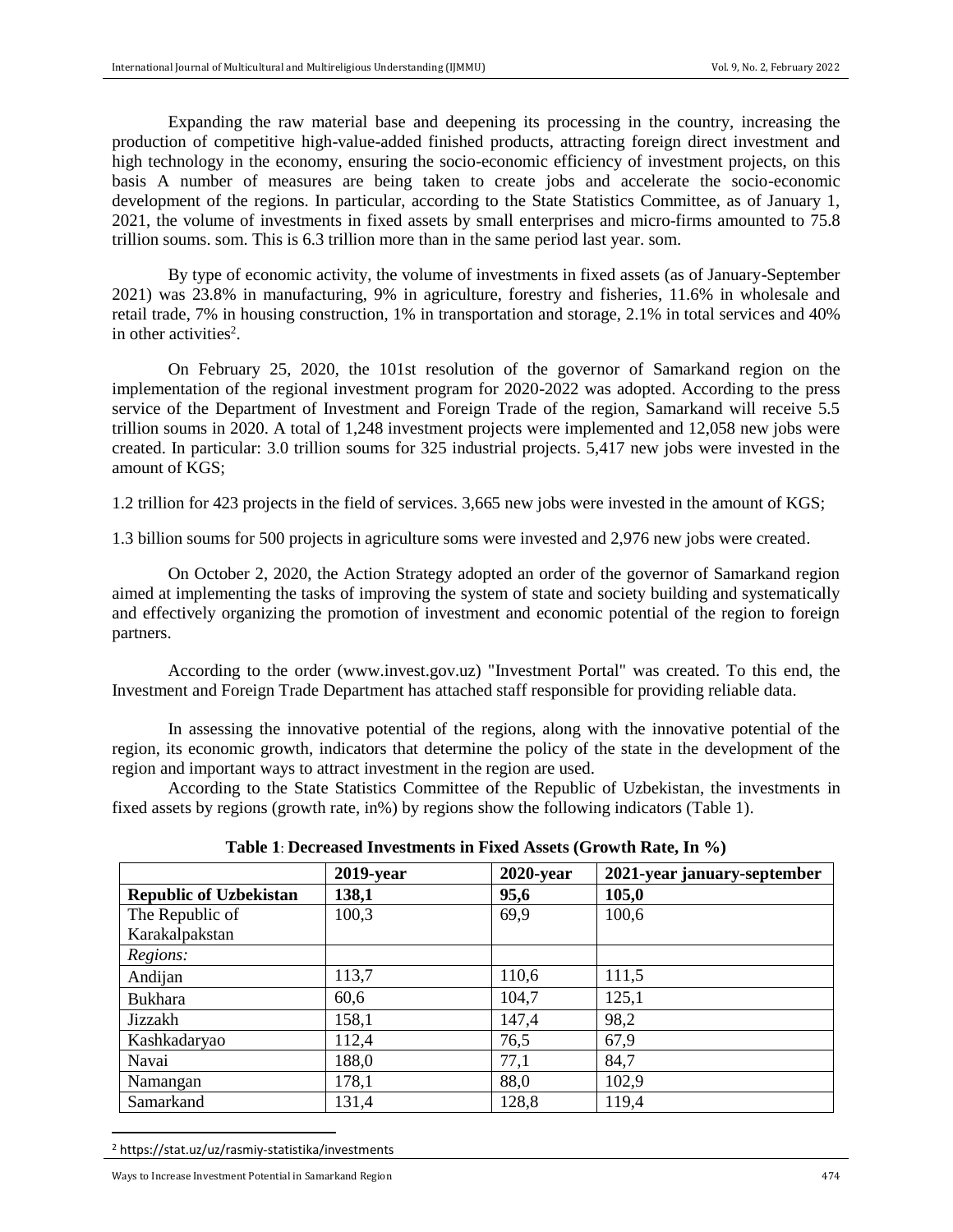Expanding the raw material base and deepening its processing in the country, increasing the production of competitive high-value-added finished products, attracting foreign direct investment and high technology in the economy, ensuring the socio-economic efficiency of investment projects, on this basis A number of measures are being taken to create jobs and accelerate the socio-economic development of the regions. In particular, according to the State Statistics Committee, as of January 1, 2021, the volume of investments in fixed assets by small enterprises and micro-firms amounted to 75.8 trillion soums. som. This is 6.3 trillion more than in the same period last year. som.

By type of economic activity, the volume of investments in fixed assets (as of January-September 2021) was 23.8% in manufacturing, 9% in agriculture, forestry and fisheries, 11.6% in wholesale and retail trade, 7% in housing construction, 1% in transportation and storage, 2.1% in total services and 40% in other activities<sup>2</sup>.

On February 25, 2020, the 101st resolution of the governor of Samarkand region on the implementation of the regional investment program for 2020-2022 was adopted. According to the press service of the Department of Investment and Foreign Trade of the region, Samarkand will receive 5.5 trillion soums in 2020. A total of 1,248 investment projects were implemented and 12,058 new jobs were created. In particular: 3.0 trillion soums for 325 industrial projects. 5,417 new jobs were invested in the amount of KGS;

1.2 trillion for 423 projects in the field of services. 3,665 new jobs were invested in the amount of KGS;

1.3 billion soums for 500 projects in agriculture soms were invested and 2,976 new jobs were created.

On October 2, 2020, the Action Strategy adopted an order of the governor of Samarkand region aimed at implementing the tasks of improving the system of state and society building and systematically and effectively organizing the promotion of investment and economic potential of the region to foreign partners.

According to the order (www.invest.gov.uz) "Investment Portal" was created. To this end, the Investment and Foreign Trade Department has attached staff responsible for providing reliable data.

In assessing the innovative potential of the regions, along with the innovative potential of the region, its economic growth, indicators that determine the policy of the state in the development of the region and important ways to attract investment in the region are used.

According to the State Statistics Committee of the Republic of Uzbekistan, the investments in fixed assets by regions (growth rate, in%) by regions show the following indicators (Table 1).

|                               | $2019$ -year | $2020$ -year | 2021-year january-september |
|-------------------------------|--------------|--------------|-----------------------------|
| <b>Republic of Uzbekistan</b> | 138,1        | 95,6         | 105,0                       |
| The Republic of               | 100,3        | 69,9         | 100,6                       |
| Karakalpakstan                |              |              |                             |
| Regions:                      |              |              |                             |
| Andijan                       | 113,7        | 110,6        | 111,5                       |
| <b>Bukhara</b>                | 60,6         | 104,7        | 125,1                       |
| Jizzakh                       | 158,1        | 147,4        | 98,2                        |
| Kashkadaryao                  | 112,4        | 76,5         | 67,9                        |
| Navai                         | 188,0        | 77,1         | 84,7                        |
| Namangan                      | 178,1        | 88,0         | 102,9                       |
| Samarkand                     | 131,4        | 128,8        | 119,4                       |

**Table 1**: **Decreased Investments in Fixed Assets (Growth Rate, In %)** 

<sup>2</sup> https://stat.uz/uz/rasmiy-statistika/investments

 $\overline{a}$ 

Ways to Increase Investment Potential in Samarkand Region 474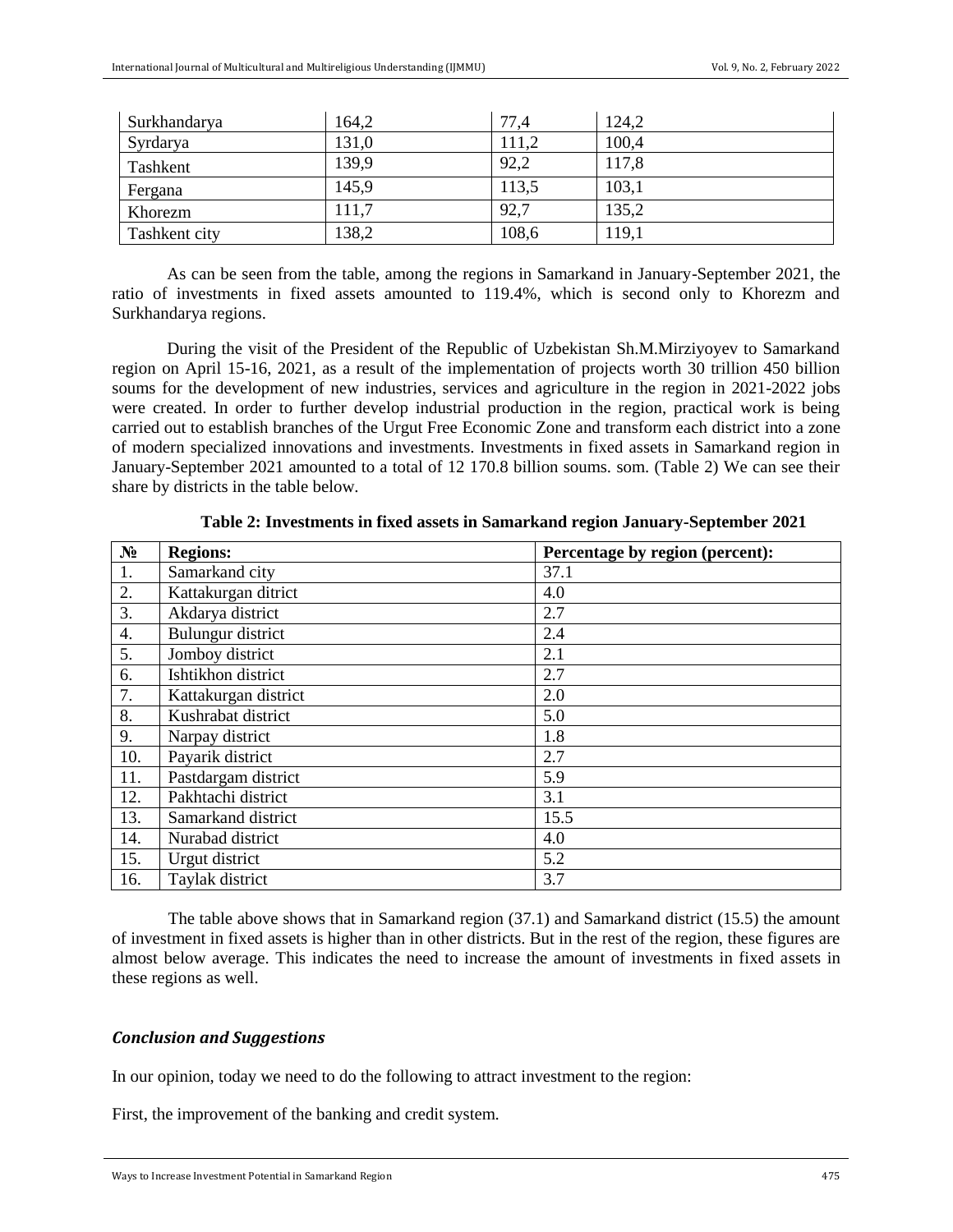| Surkhandarya  | 164,2 | 77,4  | 124,2 |
|---------------|-------|-------|-------|
| Syrdarya      | 131,0 | 111,2 | 100,4 |
| Tashkent      | 139,9 | 92,2  | 117,8 |
| Fergana       | 145,9 | 113,5 | 103,1 |
| Khorezm       | 111,7 | 92,7  | 135,2 |
| Tashkent city | 138,2 | 108,6 | 119,1 |

As can be seen from the table, among the regions in Samarkand in January-September 2021, the ratio of investments in fixed assets amounted to 119.4%, which is second only to Khorezm and Surkhandarya regions.

During the visit of the President of the Republic of Uzbekistan Sh.M.Mirziyoyev to Samarkand region on April 15-16, 2021, as a result of the implementation of projects worth 30 trillion 450 billion soums for the development of new industries, services and agriculture in the region in 2021-2022 jobs were created. In order to further develop industrial production in the region, practical work is being carried out to establish branches of the Urgut Free Economic Zone and transform each district into a zone of modern specialized innovations and investments. Investments in fixed assets in Samarkand region in January-September 2021 amounted to a total of 12 170.8 billion soums. som. (Table 2) We can see their share by districts in the table below.

| $N_2$            | <b>Regions:</b>      | Percentage by region (percent): |
|------------------|----------------------|---------------------------------|
| 1.               | Samarkand city       | 37.1                            |
| 2.               | Kattakurgan ditrict  | 4.0                             |
| 3.               | Akdarya district     | 2.7                             |
| $\overline{4}$ . | Bulungur district    | 2.4                             |
| 5.               | Jomboy district      | 2.1                             |
| 6.               | Ishtikhon district   | 2.7                             |
| 7.               | Kattakurgan district | 2.0                             |
| 8.               | Kushrabat district   | 5.0                             |
| 9.               | Narpay district      | 1.8                             |
| 10.              | Payarik district     | 2.7                             |
| 11.              | Pastdargam district  | 5.9                             |
| 12.              | Pakhtachi district   | 3.1                             |
| 13.              | Samarkand district   | 15.5                            |
| 14.              | Nurabad district     | 4.0                             |
| 15.              | Urgut district       | 5.2                             |
| 16.              | Taylak district      | 3.7                             |

**Table 2: Investments in fixed assets in Samarkand region January-September 2021**

The table above shows that in Samarkand region (37.1) and Samarkand district (15.5) the amount of investment in fixed assets is higher than in other districts. But in the rest of the region, these figures are almost below average. This indicates the need to increase the amount of investments in fixed assets in these regions as well.

#### *Conclusion and Suggestions*

In our opinion, today we need to do the following to attract investment to the region:

First, the improvement of the banking and credit system.